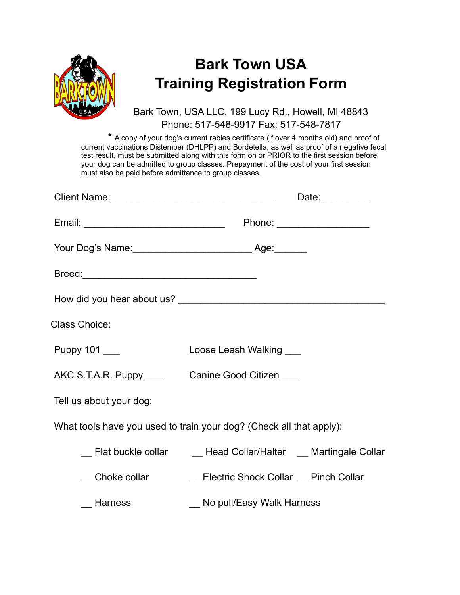

## **Bark Town USA Training Registration Form**

Bark Town, USA LLC, 199 Lucy Rd., Howell, MI 48843 Phone: 517-548-9917 Fax: 517-548-7817

\* A copy of your dog's current rabies certificate (if over 4 months old) and proof of current vaccinations Distemper (DHLPP) and Bordetella, as well as proof of a negative fecal test result, must be submitted along with this form on or PRIOR to the first session before your dog can be admitted to group classes. Prepayment of the cost of your first session must also be paid before admittance to group classes.

|                                                            | Date:__________                                                     |  |
|------------------------------------------------------------|---------------------------------------------------------------------|--|
|                                                            |                                                                     |  |
|                                                            |                                                                     |  |
|                                                            |                                                                     |  |
|                                                            |                                                                     |  |
| <b>Class Choice:</b>                                       |                                                                     |  |
| Puppy 101 ___                                              | Loose Leash Walking ___                                             |  |
| AKC S.T.A.R. Puppy ______________Canine Good Citizen _____ |                                                                     |  |
| Tell us about your dog:                                    |                                                                     |  |
|                                                            | What tools have you used to train your dog? (Check all that apply): |  |
|                                                            |                                                                     |  |
|                                                            | Choke collar Choke Collar Chock Collar Choke Collar                 |  |
| _ Harness                                                  | _ No pull/Easy Walk Harness                                         |  |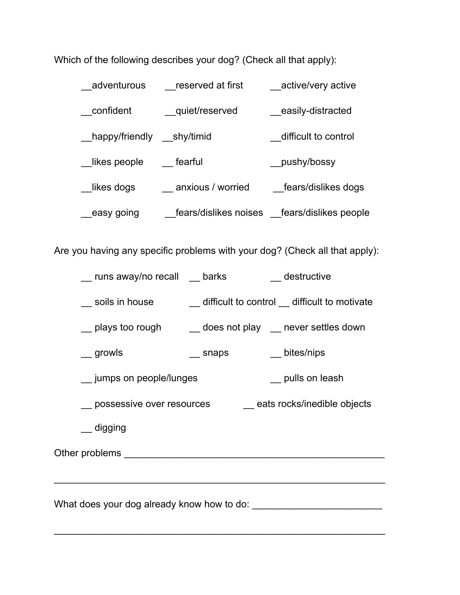Which of the following describes your dog? (Check all that apply):

| adventurous                | reserved at first | active/very active                            |
|----------------------------|-------------------|-----------------------------------------------|
| confident                  | quiet/reserved    | _easily-distracted                            |
| happy/friendly __shy/timid |                   | difficult to control                          |
| likes people               | fearful           | pushy/bossy                                   |
| likes dogs                 | anxious / worried | fears/dislikes dogs                           |
| easy going                 |                   | fears/dislikes noises __fears/dislikes people |

Are you having any specific problems with your dog? (Check all that apply):

- \_\_ runs away/no recall \_\_ barks \_\_ destructive
- \_\_ soils in house \_\_ difficult to control \_\_ difficult to motivate
- \_\_ plays too rough \_\_ does not play \_\_ never settles down
- \_\_ growls \_\_\_ snaps \_\_\_ bites/nips
- \_\_ jumps on people/lunges \_\_ pulls on leash
- \_\_ possessive over resources \_\_ eats rocks/inedible objects

 $\overline{\phantom{a}}$  , and the contribution of the contribution of the contribution of the contribution of the contribution of the contribution of the contribution of the contribution of the contribution of the contribution of the

\_\_\_\_\_\_\_\_\_\_\_\_\_\_\_\_\_\_\_\_\_\_\_\_\_\_\_\_\_\_\_\_\_\_\_\_\_\_\_\_\_\_\_\_\_\_\_\_\_\_\_\_\_\_\_\_\_\_\_\_\_

\_\_ digging

Other problems \_\_\_\_\_\_\_\_\_\_\_\_\_\_\_\_\_\_\_\_\_\_\_\_\_\_\_\_\_\_\_\_\_\_\_\_\_\_\_\_\_\_\_\_\_\_\_\_

What does your dog already know how to do: \_\_\_\_\_\_\_\_\_\_\_\_\_\_\_\_\_\_\_\_\_\_\_\_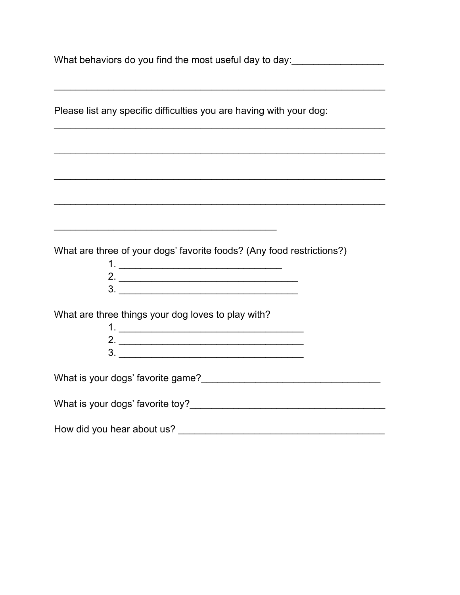| Please list any specific difficulties you are having with your dog:                                                                                                                                                                                                                                                                                                                                   |  |  |
|-------------------------------------------------------------------------------------------------------------------------------------------------------------------------------------------------------------------------------------------------------------------------------------------------------------------------------------------------------------------------------------------------------|--|--|
|                                                                                                                                                                                                                                                                                                                                                                                                       |  |  |
|                                                                                                                                                                                                                                                                                                                                                                                                       |  |  |
|                                                                                                                                                                                                                                                                                                                                                                                                       |  |  |
| <u> 1989 - Johann Stein, marwolaethau a bhaile an t-Amhair an t-Amhair an t-Amhair an t-Amhair an t-Amhair an t-A</u>                                                                                                                                                                                                                                                                                 |  |  |
| What are three of your dogs' favorite foods? (Any food restrictions?)<br>2. $\frac{1}{2}$ $\frac{1}{2}$ $\frac{1}{2}$ $\frac{1}{2}$ $\frac{1}{2}$ $\frac{1}{2}$ $\frac{1}{2}$ $\frac{1}{2}$ $\frac{1}{2}$ $\frac{1}{2}$ $\frac{1}{2}$ $\frac{1}{2}$ $\frac{1}{2}$ $\frac{1}{2}$ $\frac{1}{2}$ $\frac{1}{2}$ $\frac{1}{2}$ $\frac{1}{2}$ $\frac{1}{2}$ $\frac{1}{2}$ $\frac{1}{2}$ $\frac{1}{2}$<br>3. |  |  |
| What are three things your dog loves to play with?                                                                                                                                                                                                                                                                                                                                                    |  |  |
| What is your dogs' favorite game?                                                                                                                                                                                                                                                                                                                                                                     |  |  |
| What is your dogs' favorite toy?                                                                                                                                                                                                                                                                                                                                                                      |  |  |
| How did you hear about us?                                                                                                                                                                                                                                                                                                                                                                            |  |  |